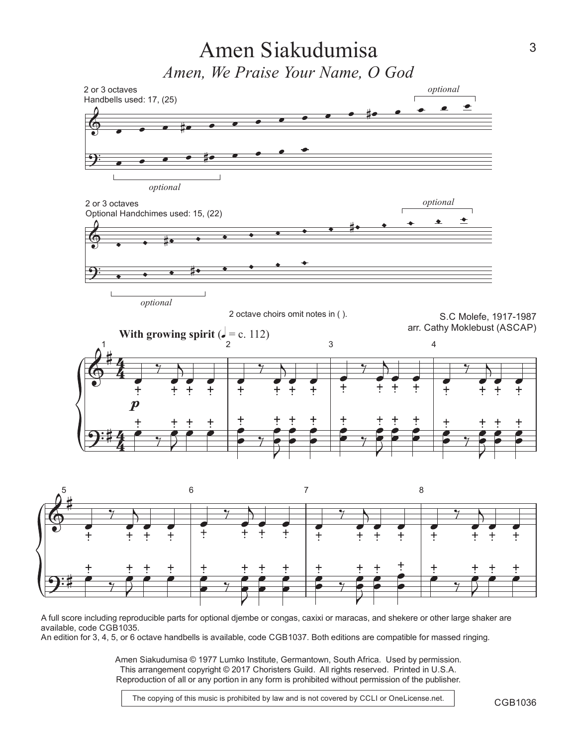

A full score including reproducible parts for optional djembe or congas, caxixi or maracas, and shekere or other large shaker are available, code CGB1035.

An edition for 3, 4, 5, or 6 octave handbells is available, code CGB1037. Both editions are compatible for massed ringing.

Amen Siakudumisa © 1977 Lumko Institute, Germantown, South Africa. Used by permission. This arrangement copyright © 2017 Choristers Guild. All rights reserved. Printed in U.S.A. Reproduction of all or any portion in any form is prohibited without permission of the publisher.

The copying of this music is prohibited by law and is not covered by CCLI or OneLicense.net.

CGB1036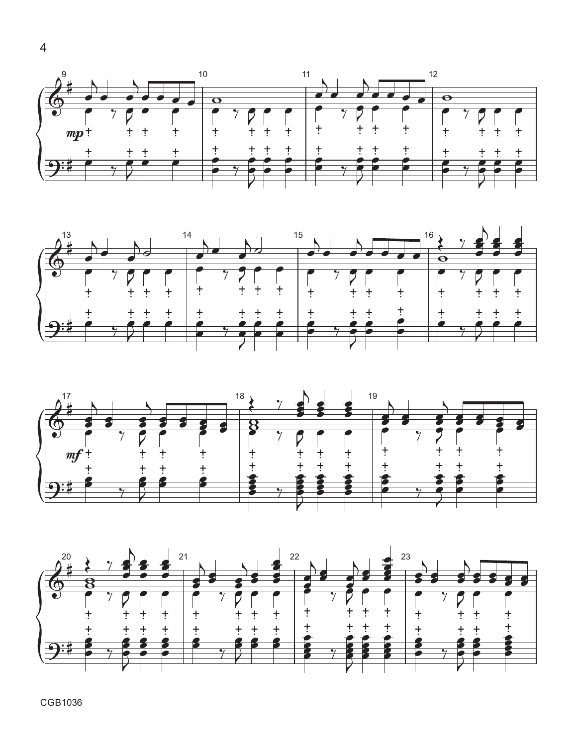





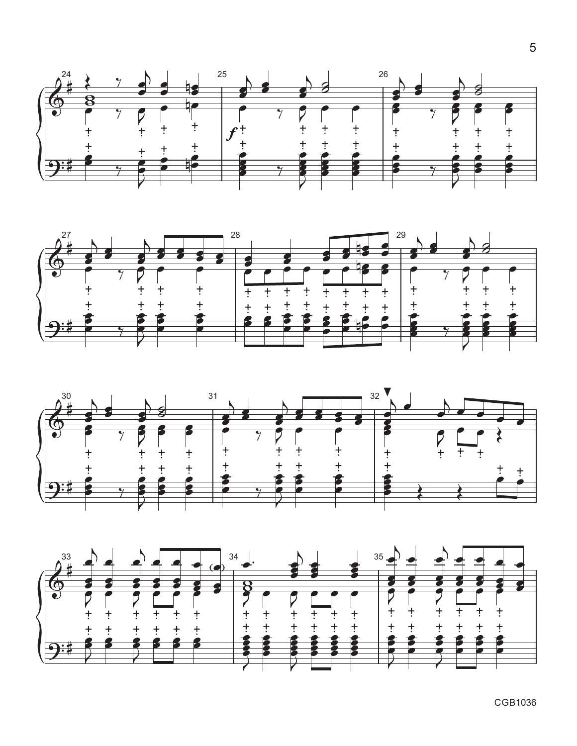





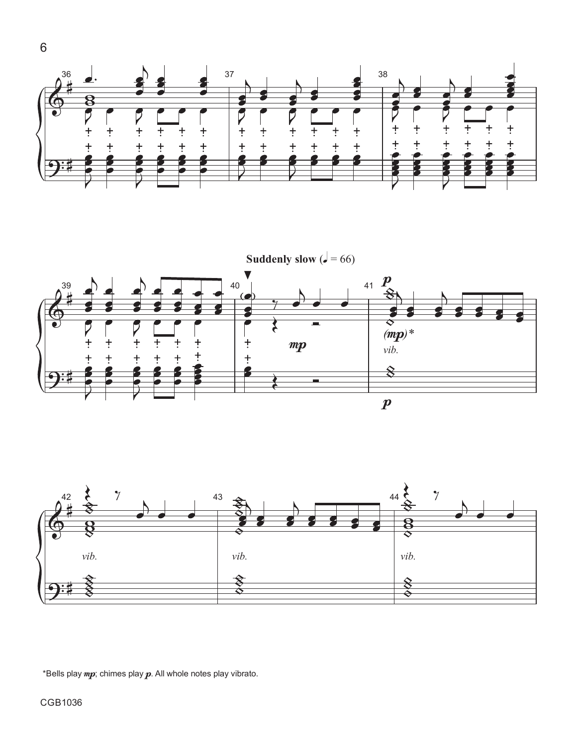

**Suddenly slow**  $\overline{a} = 66$  $\boldsymbol{p}$ 39 40 41 *(*mp*)\**  $P_+$ <u>ди</u> Ç  $\pm$  $\ddagger$ mp ţ ţ *vib.*  $\ddagger$  $\ddagger$  $\ddagger$  $\hat{\mathcal{S}}$  $\boldsymbol{p}$ 



\*Bells play  $mp$ ; chimes play  $p$ . All whole notes play vibrato.